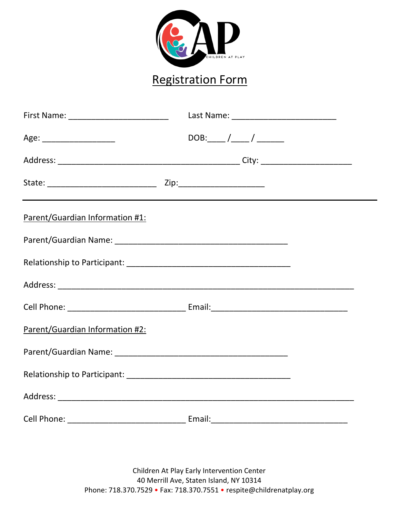

## Registration Form

| First Name: _____________________________ |  |
|-------------------------------------------|--|
|                                           |  |
|                                           |  |
|                                           |  |
| Parent/Guardian Information #1:           |  |
|                                           |  |
|                                           |  |
|                                           |  |
|                                           |  |
| Parent/Guardian Information #2:           |  |
|                                           |  |
|                                           |  |
|                                           |  |
|                                           |  |

Children At Play Early Intervention Center 40 Merrill Ave, Staten Island, NY 10314 Phone: 718.370.7529 • Fax: 718.370.7551 • respite@childrenatplay.org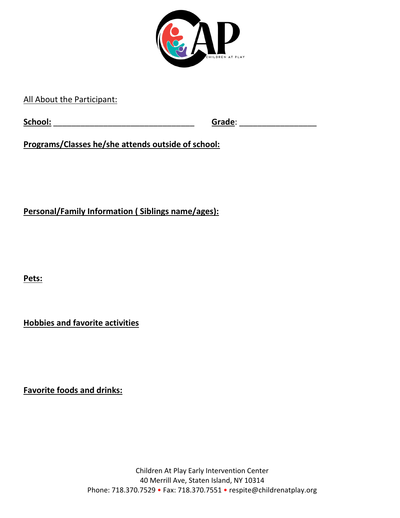

All About the Participant:

**School:** \_\_\_\_\_\_\_\_\_\_\_\_\_\_\_\_\_\_\_\_\_\_\_\_\_\_\_\_\_\_\_ **Grade**: \_\_\_\_\_\_\_\_\_\_\_\_\_\_\_\_\_

**Programs/Classes he/she attends outside of school:**

**Personal/Family Information ( Siblings name/ages):**

**Pets:**

**Hobbies and favorite activities**

**Favorite foods and drinks:**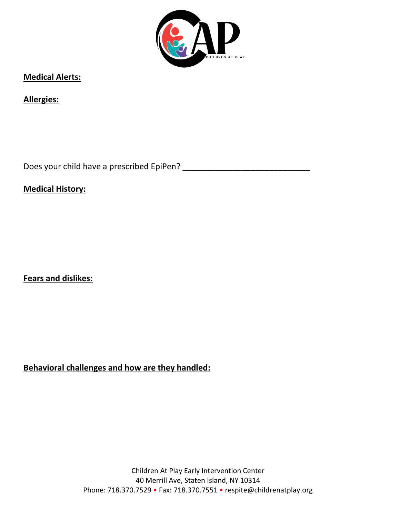

**Medical Alerts:**

**Allergies:** 

Does your child have a prescribed EpiPen? \_\_\_\_\_\_\_\_\_\_\_\_\_\_\_\_\_\_\_\_\_\_\_\_\_\_\_\_

**Medical History:** 

**Fears and dislikes:**

**Behavioral challenges and how are they handled:**